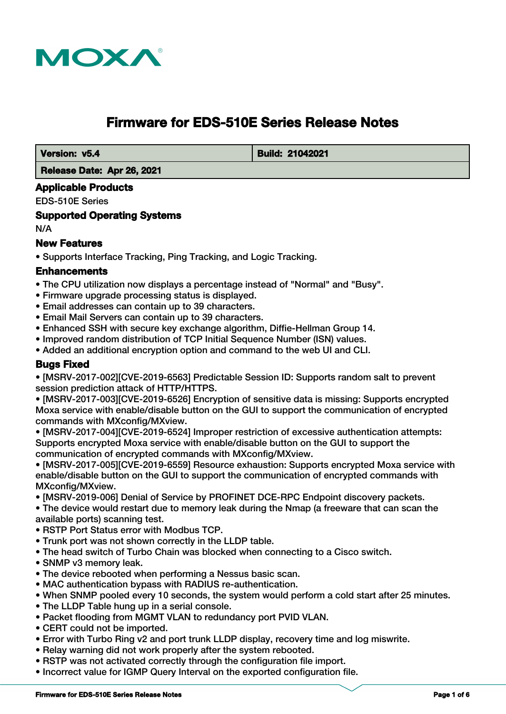

# **Firmware for EDS-510E Series Release Notes**

 **Version: v5.4 Build: 21042021** 

 **Release Date: Apr 26, 2021**

# **Applicable Products**

EDS-510E Series

# **Supported Operating Systems**

N/A

# **New Features**

• Supports Interface Tracking, Ping Tracking, and Logic Tracking.

# **Enhancements**

- The CPU utilization now displays a percentage instead of "Normal" and "Busy".
- Firmware upgrade processing status is displayed.
- Email addresses can contain up to 39 characters.
- Email Mail Servers can contain up to 39 characters.
- Enhanced SSH with secure key exchange algorithm, Diffie-Hellman Group 14.
- Improved random distribution of TCP Initial Sequence Number (ISN) values.
- Added an additional encryption option and command to the web UI and CLI.

# **Bugs Fixed**

• [MSRV-2017-002][CVE-2019-6563] Predictable Session ID: Supports random salt to prevent session prediction attack of HTTP/HTTPS.

• [MSRV-2017-003][CVE-2019-6526] Encryption of sensitive data is missing: Supports encrypted Moxa service with enable/disable button on the GUI to support the communication of encrypted commands with MXconfig/MXview.

• [MSRV-2017-004][CVE-2019-6524] Improper restriction of excessive authentication attempts: Supports encrypted Moxa service with enable/disable button on the GUI to support the communication of encrypted commands with MXconfig/MXview.

• [MSRV-2017-005][CVE-2019-6559] Resource exhaustion: Supports encrypted Moxa service with enable/disable button on the GUI to support the communication of encrypted commands with MXconfig/MXview.

- [MSRV-2019-006] Denial of Service by PROFINET DCE-RPC Endpoint discovery packets.
- The device would restart due to memory leak during the Nmap (a freeware that can scan the available ports) scanning test.
- RSTP Port Status error with Modbus TCP.
- Trunk port was not shown correctly in the LLDP table.
- The head switch of Turbo Chain was blocked when connecting to a Cisco switch.
- SNMP v3 memory leak.
- The device rebooted when performing a Nessus basic scan.
- MAC authentication bypass with RADIUS re-authentication.
- When SNMP pooled every 10 seconds, the system would perform a cold start after 25 minutes.
- The LLDP Table hung up in a serial console.
- Packet flooding from MGMT VLAN to redundancy port PVID VLAN.
- CERT could not be imported.
- Error with Turbo Ring v2 and port trunk LLDP display, recovery time and log miswrite.
- Relay warning did not work properly after the system rebooted.
- RSTP was not activated correctly through the configuration file import.
- Incorrect value for IGMP Query Interval on the exported configuration file.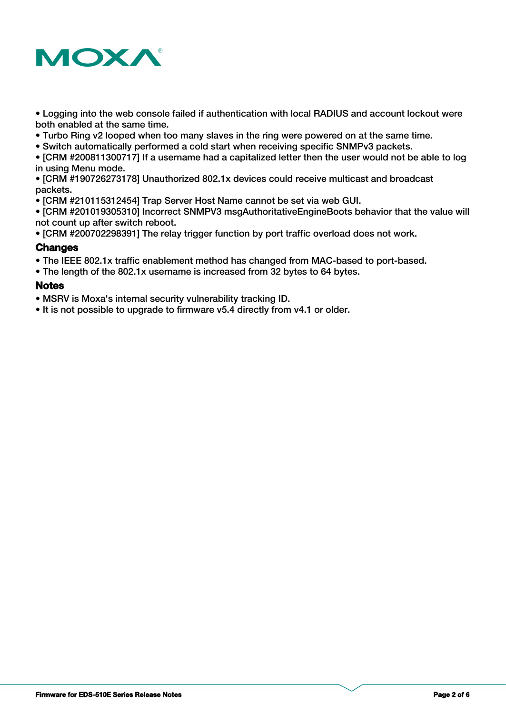

- Logging into the web console failed if authentication with local RADIUS and account lockout were both enabled at the same time.
- Turbo Ring v2 looped when too many slaves in the ring were powered on at the same time.
- Switch automatically performed a cold start when receiving specific SNMPv3 packets.

• [CRM #200811300717] If a username had a capitalized letter then the user would not be able to log in using Menu mode.

• [CRM #190726273178] Unauthorized 802.1x devices could receive multicast and broadcast packets.

• [CRM #210115312454] Trap Server Host Name cannot be set via web GUI.

• [CRM #201019305310] Incorrect SNMPV3 msgAuthoritativeEngineBoots behavior that the value will not count up after switch reboot.

• [CRM #200702298391] The relay trigger function by port traffic overload does not work.

# **Changes**

- The IEEE 802.1x traffic enablement method has changed from MAC-based to port-based.
- The length of the 802.1x username is increased from 32 bytes to 64 bytes.

#### **Notes**

- MSRV is Moxa's internal security vulnerability tracking ID.
- It is not possible to upgrade to firmware v5.4 directly from v4.1 or older.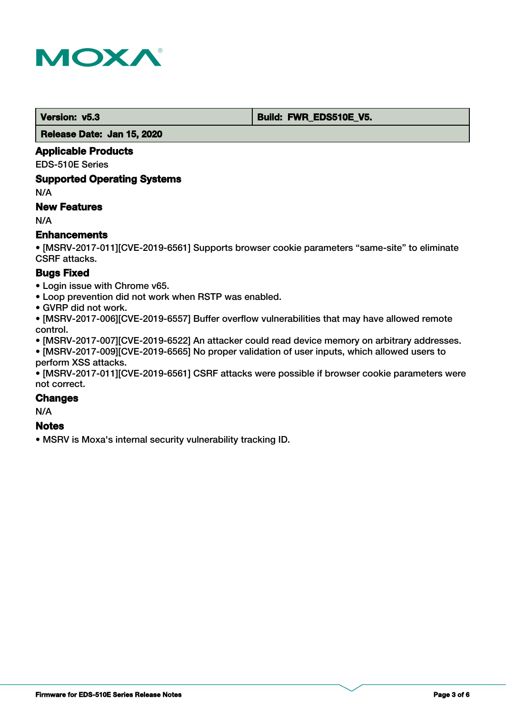

 **Version: v5.3 Build: FWR\_EDS510E\_V5.** 

 **Release Date: Jan 15, 2020**

# **Applicable Products**

EDS-510E Series

#### **Supported Operating Systems**

N/A

# **New Features**

N/A

# **Enhancements**

• [MSRV-2017-011][CVE-2019-6561] Supports browser cookie parameters "same-site" to eliminate CSRF attacks.

# **Bugs Fixed**

- Login issue with Chrome v65.
- Loop prevention did not work when RSTP was enabled.
- GVRP did not work.

• [MSRV-2017-006][CVE-2019-6557] Buffer overflow vulnerabilities that may have allowed remote control.

• [MSRV-2017-007][CVE-2019-6522] An attacker could read device memory on arbitrary addresses.

• [MSRV-2017-009][CVE-2019-6565] No proper validation of user inputs, which allowed users to perform XSS attacks.

• [MSRV-2017-011][CVE-2019-6561] CSRF attacks were possible if browser cookie parameters were not correct.

#### **Changes**

N/A

# **Notes**

• MSRV is Moxa's internal security vulnerability tracking ID.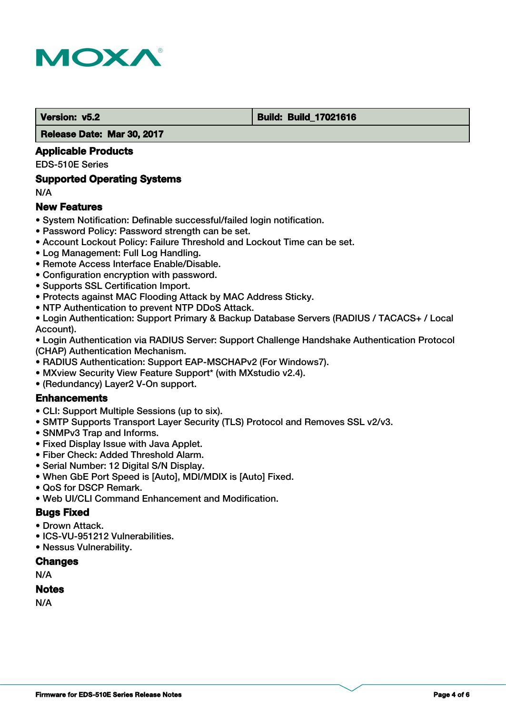

#### **Version: v5.2 Build: Build: Build: 17021616**

 **Release Date: Mar 30, 2017**

# **Applicable Products**

EDS-510E Series

# **Supported Operating Systems**

N/A

# **New Features**

- System Notification: Definable successful/failed login notification.
- Password Policy: Password strength can be set.
- Account Lockout Policy: Failure Threshold and Lockout Time can be set.
- Log Management: Full Log Handling.
- Remote Access Interface Enable/Disable.
- Configuration encryption with password.
- Supports SSL Certification Import.
- Protects against MAC Flooding Attack by MAC Address Sticky.
- NTP Authentication to prevent NTP DDoS Attack.
- Login Authentication: Support Primary & Backup Database Servers (RADIUS / TACACS+ / Local Account).

• Login Authentication via RADIUS Server: Support Challenge Handshake Authentication Protocol (CHAP) Authentication Mechanism.

- RADIUS Authentication: Support EAP-MSCHAPv2 (For Windows7).
- MXview Security View Feature Support\* (with MXstudio v2.4).
- (Redundancy) Layer2 V-On support.

#### **Enhancements**

- CLI: Support Multiple Sessions (up to six).
- SMTP Supports Transport Layer Security (TLS) Protocol and Removes SSL v2/v3.
- SNMPv3 Trap and Informs.
- Fixed Display Issue with Java Applet.
- Fiber Check: Added Threshold Alarm.
- Serial Number: 12 Digital S/N Display.
- When GbE Port Speed is [Auto], MDI/MDIX is [Auto] Fixed.
- QoS for DSCP Remark.
- Web UI/CLI Command Enhancement and Modification.

#### **Bugs Fixed**

- Drown Attack.
- ICS-VU-951212 Vulnerabilities.
- Nessus Vulnerability.

#### **Changes**

N/A

#### **Notes**

N/A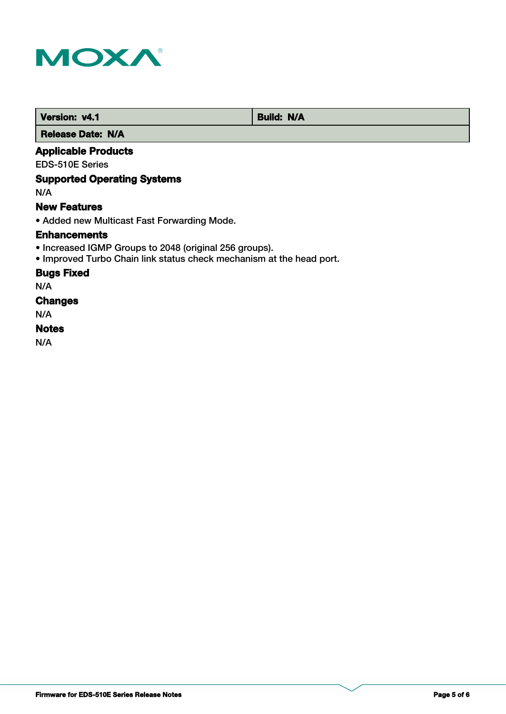

| Version: v4.1 | Build: N/A |
|---------------|------------|
|               |            |

 **Release Date: N/A**

# **Applicable Products**

EDS-510E Series

# **Supported Operating Systems**

N/A

# **New Features**

• Added new Multicast Fast Forwarding Mode.

#### **Enhancements**

- Increased IGMP Groups to 2048 (original 256 groups).
- Improved Turbo Chain link status check mechanism at the head port.

#### **Bugs Fixed**

N/A

#### **Changes**

N/A

#### **Notes**

N/A